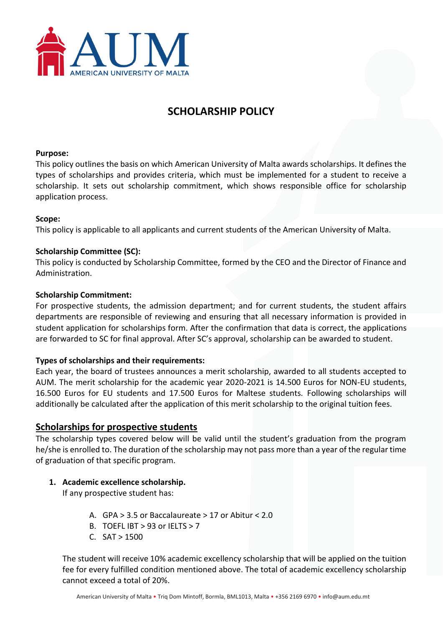

# **SCHOLARSHIP POLICY**

#### **Purpose:**

This policy outlines the basis on which American University of Malta awards scholarships. It defines the types of scholarships and provides criteria, which must be implemented for a student to receive a scholarship. It sets out scholarship commitment, which shows responsible office for scholarship application process.

#### **Scope:**

This policy is applicable to all applicants and current students of the American University of Malta.

#### **Scholarship Committee (SC):**

This policy is conducted by Scholarship Committee, formed by the CEO and the Director of Finance and Administration.

#### **Scholarship Commitment:**

For prospective students, the admission department; and for current students, the student affairs departments are responsible of reviewing and ensuring that all necessary information is provided in student application for scholarships form. After the confirmation that data is correct, the applications are forwarded to SC for final approval. After SC's approval, scholarship can be awarded to student.

#### **Types of scholarships and their requirements:**

Each year, the board of trustees announces a merit scholarship, awarded to all students accepted to AUM. The merit scholarship for the academic year 2020-2021 is 14.500 Euros for NON-EU students, 16.500 Euros for EU students and 17.500 Euros for Maltese students. Following scholarships will additionally be calculated after the application of this merit scholarship to the original tuition fees.

#### **Scholarships for prospective students**

The scholarship types covered below will be valid until the student's graduation from the program he/she is enrolled to. The duration of the scholarship may not pass more than a year of the regular time of graduation of that specific program.

#### **1. Academic excellence scholarship.**

If any prospective student has:

- A. GPA > 3.5 or Baccalaureate > 17 or Abitur < 2.0
- B. TOEFL IBT  $>93$  or IELTS  $>7$
- $C.$  SAT  $> 1500$

The student will receive 10% academic excellency scholarship that will be applied on the tuition fee for every fulfilled condition mentioned above. The total of academic excellency scholarship cannot exceed a total of 20%.